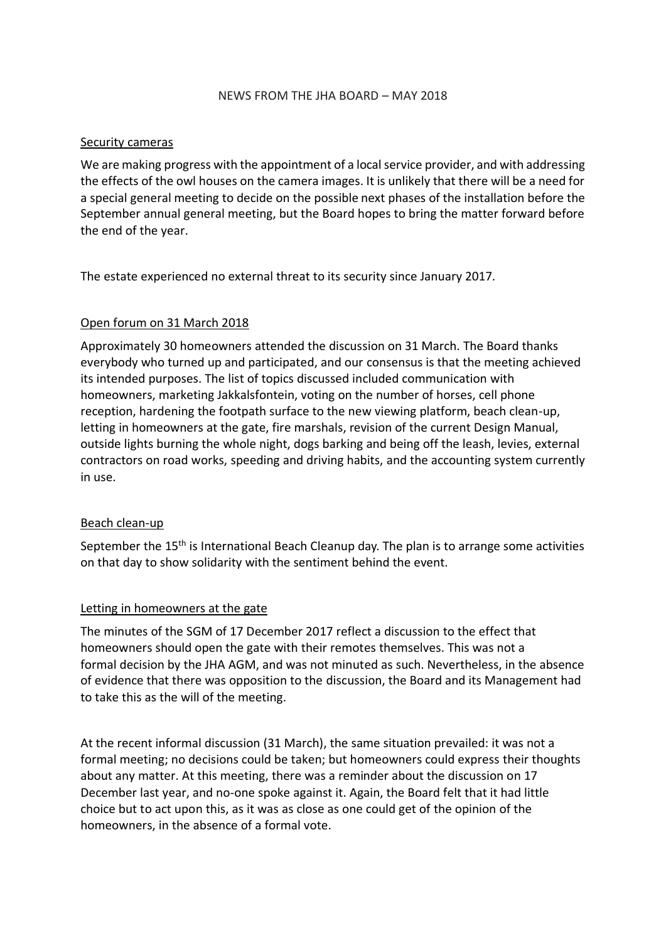#### NEWS FROM THE JHA BOARD – MAY 2018

#### Security cameras

We are making progress with the appointment of a local service provider, and with addressing the effects of the owl houses on the camera images. It is unlikely that there will be a need for a special general meeting to decide on the possible next phases of the installation before the September annual general meeting, but the Board hopes to bring the matter forward before the end of the year.

The estate experienced no external threat to its security since January 2017.

#### Open forum on 31 March 2018

Approximately 30 homeowners attended the discussion on 31 March. The Board thanks everybody who turned up and participated, and our consensus is that the meeting achieved its intended purposes. The list of topics discussed included communication with homeowners, marketing Jakkalsfontein, voting on the number of horses, cell phone reception, hardening the footpath surface to the new viewing platform, beach clean-up, letting in homeowners at the gate, fire marshals, revision of the current Design Manual, outside lights burning the whole night, dogs barking and being off the leash, levies, external contractors on road works, speeding and driving habits, and the accounting system currently in use.

## Beach clean-up

September the 15<sup>th</sup> is International Beach Cleanup day. The plan is to arrange some activities on that day to show solidarity with the sentiment behind the event.

## Letting in homeowners at the gate

The minutes of the SGM of 17 December 2017 reflect a discussion to the effect that homeowners should open the gate with their remotes themselves. This was not a formal decision by the JHA AGM, and was not minuted as such. Nevertheless, in the absence of evidence that there was opposition to the discussion, the Board and its Management had to take this as the will of the meeting.

At the recent informal discussion (31 March), the same situation prevailed: it was not a formal meeting; no decisions could be taken; but homeowners could express their thoughts about any matter. At this meeting, there was a reminder about the discussion on 17 December last year, and no-one spoke against it. Again, the Board felt that it had little choice but to act upon this, as it was as close as one could get of the opinion of the homeowners, in the absence of a formal vote.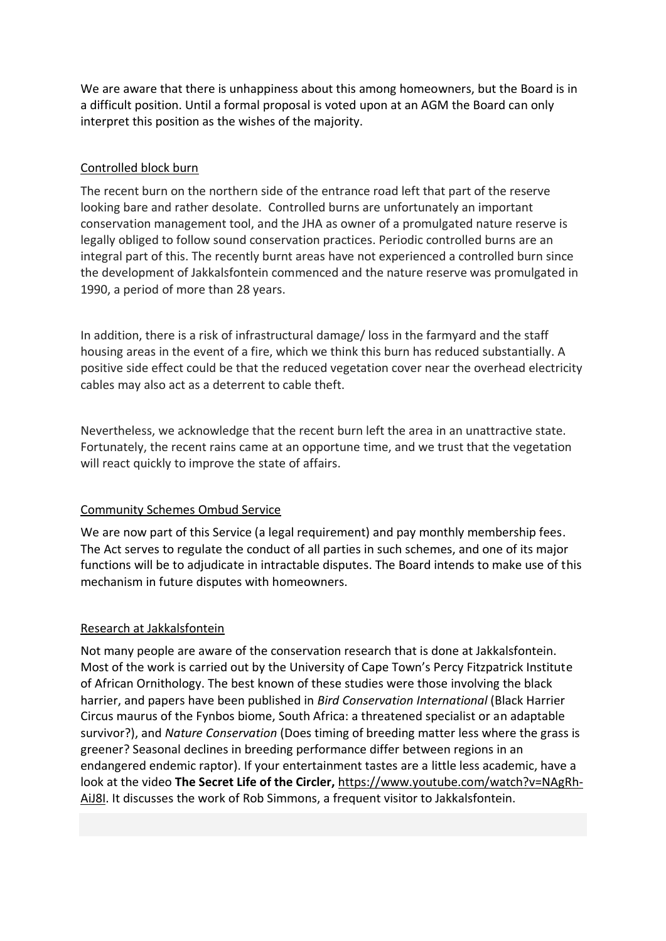We are aware that there is unhappiness about this among homeowners, but the Board is in a difficult position. Until a formal proposal is voted upon at an AGM the Board can only interpret this position as the wishes of the majority.

# Controlled block burn

The recent burn on the northern side of the entrance road left that part of the reserve looking bare and rather desolate. Controlled burns are unfortunately an important conservation management tool, and the JHA as owner of a promulgated nature reserve is legally obliged to follow sound conservation practices. Periodic controlled burns are an integral part of this. The recently burnt areas have not experienced a controlled burn since the development of Jakkalsfontein commenced and the nature reserve was promulgated in 1990, a period of more than 28 years.

In addition, there is a risk of infrastructural damage/ loss in the farmyard and the staff housing areas in the event of a fire, which we think this burn has reduced substantially. A positive side effect could be that the reduced vegetation cover near the overhead electricity cables may also act as a deterrent to cable theft.

Nevertheless, we acknowledge that the recent burn left the area in an unattractive state. Fortunately, the recent rains came at an opportune time, and we trust that the vegetation will react quickly to improve the state of affairs.

# [Community Schemes Ombud Service](https://nationalgovernment.co.za/units/view/207/community-schemes-ombud-service-csos)

We are now part of this Service (a legal requirement) and pay monthly membership fees. The Act serves to regulate the conduct of all parties in such schemes, and one of its major functions will be to adjudicate in intractable disputes. The Board intends to make use of this mechanism in future disputes with homeowners.

## Research at Jakkalsfontein

Not many people are aware of the conservation research that is done at Jakkalsfontein. Most of the work is carried out by the University of Cape Town's Percy Fitzpatrick Institute of African Ornithology. The best known of these studies were those involving the black harrier, and papers have been published in *Bird Conservation International* (Black Harrier Circus maurus of the Fynbos biome, South Africa: a threatened specialist or an adaptable survivor?), and *Nature Conservation* (Does timing of breeding matter less where the grass is greener? Seasonal declines in breeding performance differ between regions in an endangered endemic raptor). If your entertainment tastes are a little less academic, have a look at the video **[The Secret Life of the Circler,](https://www.youtube.com/watch?v=NAgRh-AiJ8I)** [https://www.youtube.com/watch?v=NAgRh-](https://www.youtube.com/watch?v=NAgRh-AiJ8I)[AiJ8I.](https://www.youtube.com/watch?v=NAgRh-AiJ8I) It discusses the work of Rob Simmons, a frequent visitor to Jakkalsfontein.